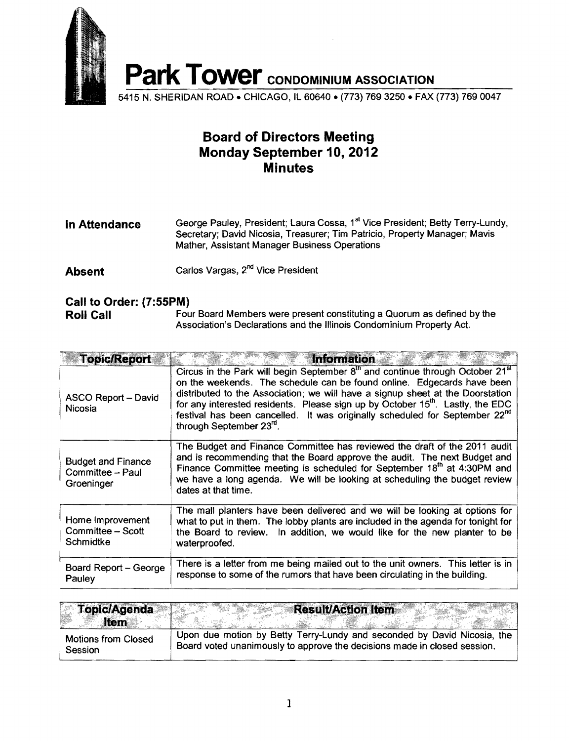

## **Board of Directors Meeting Monday September 10, 2012 Minutes**

| In Attendance | George Pauley, President; Laura Cossa, 1 <sup>st</sup> Vice President; Betty Terry-Lundy,<br>Secretary; David Nicosia, Treasurer; Tim Patricio, Property Manager; Mavis<br>Mather, Assistant Manager Business Operations |
|---------------|--------------------------------------------------------------------------------------------------------------------------------------------------------------------------------------------------------------------------|
|               |                                                                                                                                                                                                                          |

**Absent** Carlos Vargas, 2<sup>nd</sup> Vice President

## **Call to Order: (7:55PM)**

**Roll Call** Four Board Members were present constituting a Quorum as defined by the Association's Declarations and the Illinois Condominium Property Act.

| <b>Topic/Report</b>                                         | <b>Information</b>                                                                                                                                                                                                                                                                                                                                                                                                                                                              |
|-------------------------------------------------------------|---------------------------------------------------------------------------------------------------------------------------------------------------------------------------------------------------------------------------------------------------------------------------------------------------------------------------------------------------------------------------------------------------------------------------------------------------------------------------------|
| <b>ASCO Report - David</b><br><b>Nicosia</b>                | Circus in the Park will begin September $8th$ and continue through October 21 $st$<br>on the weekends. The schedule can be found online. Edgecards have been<br>distributed to the Association; we will have a signup sheet at the Doorstation<br>for any interested residents. Please sign up by October 15 <sup>th</sup> . Lastly, the EDC<br>festival has been cancelled. It was originally scheduled for September 22 <sup>nd</sup><br>through September 23 <sup>rd</sup> . |
| <b>Budget and Finance</b><br>Committee - Paul<br>Groeninger | The Budget and Finance Committee has reviewed the draft of the 2011 audit<br>and is recommending that the Board approve the audit. The next Budget and<br>Finance Committee meeting is scheduled for September $18th$ at 4:30PM and<br>we have a long agenda. We will be looking at scheduling the budget review<br>dates at that time.                                                                                                                                         |
| Home Improvement<br>Committee - Scott<br>Schmidtke          | The mall planters have been delivered and we will be looking at options for<br>what to put in them. The lobby plants are included in the agenda for tonight for<br>the Board to review. In addition, we would like for the new planter to be<br>waterproofed.                                                                                                                                                                                                                   |
| Board Report – George<br>Pauley                             | There is a letter from me being mailed out to the unit owners. This letter is in<br>response to some of the rumors that have been circulating in the building.                                                                                                                                                                                                                                                                                                                  |

| <b>Topic/Agenda</b><br><b>Item</b> | <b>Result/Action Item</b>                                                |
|------------------------------------|--------------------------------------------------------------------------|
| <b>Motions from Closed</b>         | Upon due motion by Betty Terry-Lundy and seconded by David Nicosia, the  |
| Session                            | Board voted unanimously to approve the decisions made in closed session. |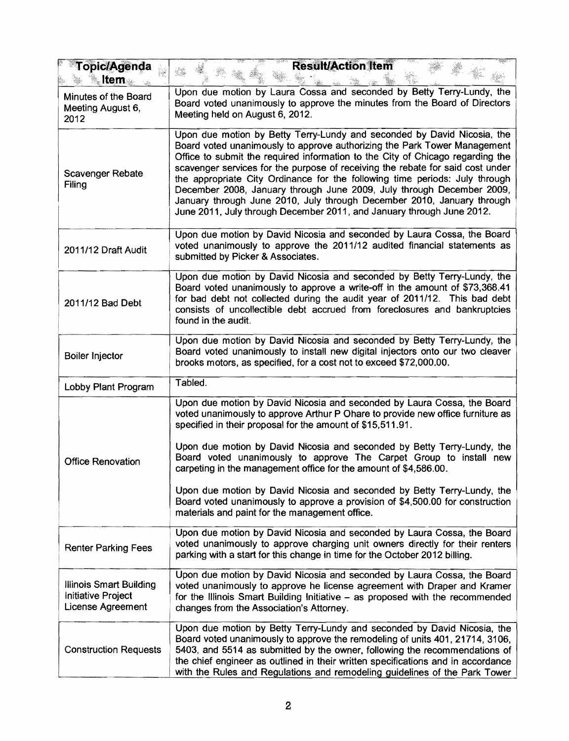| <b>Topic/Agenda</b><br>ltem                                                      | <b>Result/Action Item</b>                                                                                                                                                                                                                                                                                                                                                                                                                                                                                                                                                                                                                                  |
|----------------------------------------------------------------------------------|------------------------------------------------------------------------------------------------------------------------------------------------------------------------------------------------------------------------------------------------------------------------------------------------------------------------------------------------------------------------------------------------------------------------------------------------------------------------------------------------------------------------------------------------------------------------------------------------------------------------------------------------------------|
| Minutes of the Board<br>Meeting August 6,<br>2012                                | Upon due motion by Laura Cossa and seconded by Betty Terry-Lundy, the<br>Board voted unanimously to approve the minutes from the Board of Directors<br>Meeting held on August 6, 2012.                                                                                                                                                                                                                                                                                                                                                                                                                                                                     |
| Scavenger Rebate<br>Filing                                                       | Upon due motion by Betty Terry-Lundy and seconded by David Nicosia, the<br>Board voted unanimously to approve authorizing the Park Tower Management<br>Office to submit the required information to the City of Chicago regarding the<br>scavenger services for the purpose of receiving the rebate for said cost under<br>the appropriate City Ordinance for the following time periods: July through<br>December 2008, January through June 2009, July through December 2009,<br>January through June 2010, July through December 2010, January through<br>June 2011, July through December 2011, and January through June 2012.                         |
| 2011/12 Draft Audit                                                              | Upon due motion by David Nicosia and seconded by Laura Cossa, the Board<br>voted unanimously to approve the 2011/12 audited financial statements as<br>submitted by Picker & Associates.                                                                                                                                                                                                                                                                                                                                                                                                                                                                   |
| 2011/12 Bad Debt                                                                 | Upon due motion by David Nicosia and seconded by Betty Terry-Lundy, the<br>Board voted unanimously to approve a write-off in the amount of \$73,368.41<br>for bad debt not collected during the audit year of 2011/12. This bad debt<br>consists of uncollectible debt accrued from foreclosures and bankruptcies<br>found in the audit.                                                                                                                                                                                                                                                                                                                   |
| Boiler Injector                                                                  | Upon due motion by David Nicosia and seconded by Betty Terry-Lundy, the<br>Board voted unanimously to install new digital injectors onto our two cleaver<br>brooks motors, as specified, for a cost not to exceed \$72,000.00.                                                                                                                                                                                                                                                                                                                                                                                                                             |
| Lobby Plant Program                                                              | Tabled.                                                                                                                                                                                                                                                                                                                                                                                                                                                                                                                                                                                                                                                    |
| <b>Office Renovation</b>                                                         | Upon due motion by David Nicosia and seconded by Laura Cossa, the Board<br>voted unanimously to approve Arthur P Ohare to provide new office furniture as<br>specified in their proposal for the amount of \$15,511.91.<br>Upon due motion by David Nicosia and seconded by Betty Terry-Lundy, the<br>Board voted unanimously to approve The Carpet Group to install new<br>carpeting in the management office for the amount of \$4,586.00.<br>Upon due motion by David Nicosia and seconded by Betty Terry-Lundy, the<br>Board voted unanimously to approve a provision of \$4,500.00 for construction<br>materials and paint for the management office. |
| <b>Renter Parking Fees</b>                                                       | Upon due motion by David Nicosia and seconded by Laura Cossa, the Board<br>voted unanimously to approve charging unit owners directly for their renters<br>parking with a start for this change in time for the October 2012 billing.                                                                                                                                                                                                                                                                                                                                                                                                                      |
| <b>Illinois Smart Building</b><br><b>Initiative Project</b><br>License Agreement | Upon due motion by David Nicosia and seconded by Laura Cossa, the Board<br>voted unanimously to approve he license agreement with Draper and Kramer<br>for the Illinois Smart Building Initiative – as proposed with the recommended<br>changes from the Association's Attorney.                                                                                                                                                                                                                                                                                                                                                                           |
| <b>Construction Requests</b>                                                     | Upon due motion by Betty Terry-Lundy and seconded by David Nicosia, the<br>Board voted unanimously to approve the remodeling of units 401, 21714, 3106,<br>5403, and 5514 as submitted by the owner, following the recommendations of<br>the chief engineer as outlined in their written specifications and in accordance<br>with the Rules and Regulations and remodeling guidelines of the Park Tower                                                                                                                                                                                                                                                    |